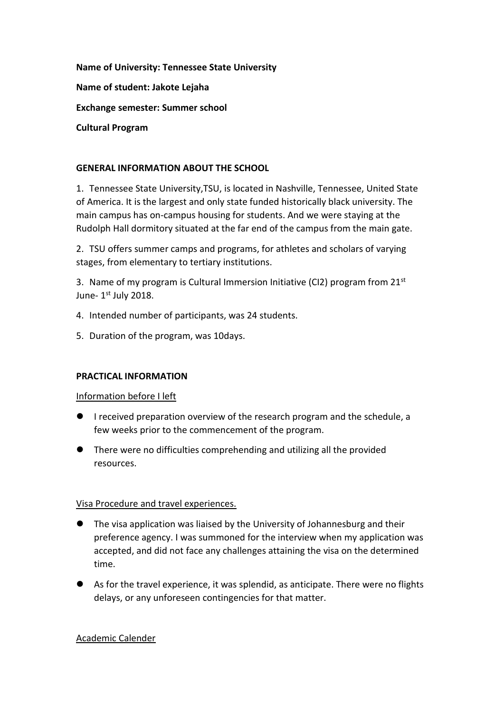**Name of University: Tennessee State University Name of student: Jakote Lejaha Exchange semester: Summer school Cultural Program**

# **GENERAL INFORMATION ABOUT THE SCHOOL**

1. Tennessee State University,TSU, is located in Nashville, Tennessee, United State of America. It is the largest and only state funded historically black university. The main campus has on-campus housing for students. And we were staying at the Rudolph Hall dormitory situated at the far end of the campus from the main gate.

2. TSU offers summer camps and programs, for athletes and scholars of varying stages, from elementary to tertiary institutions.

3. Name of my program is Cultural Immersion Initiative (CI2) program from 21<sup>st</sup> June- 1st July 2018.

- 4. Intended number of participants, was 24 students.
- 5. Duration of the program, was 10days.

# **PRACTICAL INFORMATION**

# Information before I left

- I received preparation overview of the research program and the schedule, a few weeks prior to the commencement of the program.
- There were no difficulties comprehending and utilizing all the provided resources.

# Visa Procedure and travel experiences.

- The visa application was liaised by the University of Johannesburg and their preference agency. I was summoned for the interview when my application was accepted, and did not face any challenges attaining the visa on the determined time.
- As for the travel experience, it was splendid, as anticipate. There were no flights delays, or any unforeseen contingencies for that matter.

# Academic Calender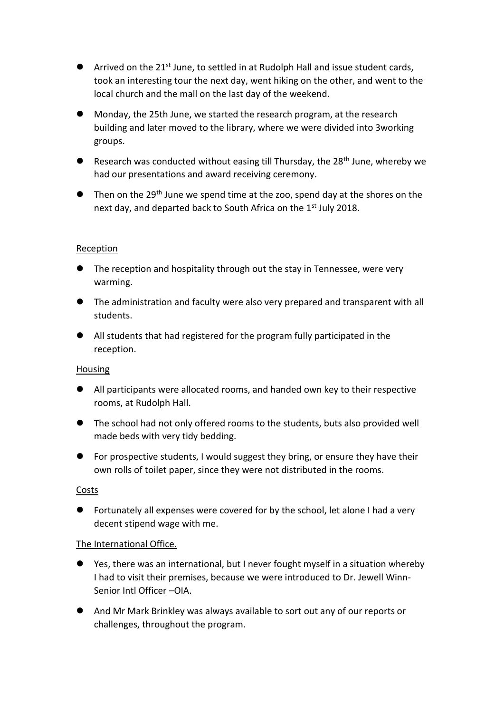- Arrived on the  $21^{st}$  June, to settled in at Rudolph Hall and issue student cards, took an interesting tour the next day, went hiking on the other, and went to the local church and the mall on the last day of the weekend.
- Monday, the 25th June, we started the research program, at the research building and later moved to the library, where we were divided into 3working groups.
- Research was conducted without easing till Thursday, the  $28<sup>th</sup>$  June, whereby we had our presentations and award receiving ceremony.
- $\bullet$  Then on the 29<sup>th</sup> June we spend time at the zoo, spend day at the shores on the next day, and departed back to South Africa on the 1<sup>st</sup> July 2018.

# Reception

- **The reception and hospitality through out the stay in Tennessee, were very** warming.
- The administration and faculty were also very prepared and transparent with all students.
- All students that had registered for the program fully participated in the reception.

# Housing

- All participants were allocated rooms, and handed own key to their respective rooms, at Rudolph Hall.
- The school had not only offered rooms to the students, buts also provided well made beds with very tidy bedding.
- For prospective students, I would suggest they bring, or ensure they have their own rolls of toilet paper, since they were not distributed in the rooms.

# Costs

 Fortunately all expenses were covered for by the school, let alone I had a very decent stipend wage with me.

# The International Office.

- Yes, there was an international, but I never fought myself in a situation whereby I had to visit their premises, because we were introduced to Dr. Jewell Winn-Senior Intl Officer –OIA.
- And Mr Mark Brinkley was always available to sort out any of our reports or challenges, throughout the program.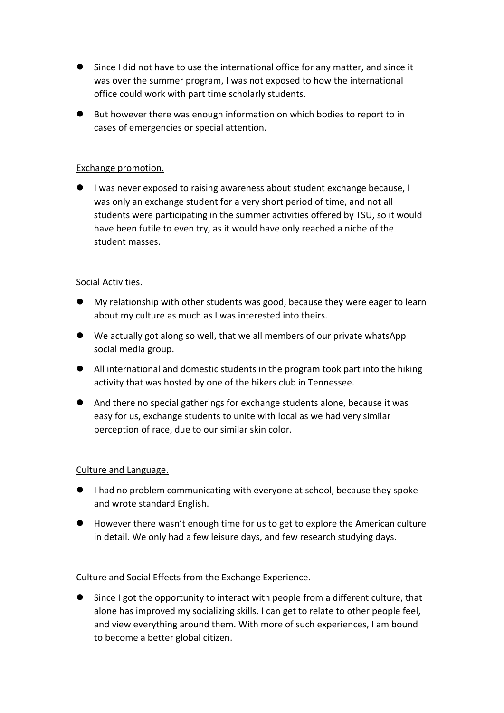- Since I did not have to use the international office for any matter, and since it was over the summer program, I was not exposed to how the international office could work with part time scholarly students.
- But however there was enough information on which bodies to report to in cases of emergencies or special attention.

# Exchange promotion.

 I was never exposed to raising awareness about student exchange because, I was only an exchange student for a very short period of time, and not all students were participating in the summer activities offered by TSU, so it would have been futile to even try, as it would have only reached a niche of the student masses.

# Social Activities.

- My relationship with other students was good, because they were eager to learn about my culture as much as I was interested into theirs.
- We actually got along so well, that we all members of our private whatsApp social media group.
- All international and domestic students in the program took part into the hiking activity that was hosted by one of the hikers club in Tennessee.
- And there no special gatherings for exchange students alone, because it was easy for us, exchange students to unite with local as we had very similar perception of race, due to our similar skin color.

# Culture and Language.

- I had no problem communicating with everyone at school, because they spoke and wrote standard English.
- However there wasn't enough time for us to get to explore the American culture in detail. We only had a few leisure days, and few research studying days.

# Culture and Social Effects from the Exchange Experience.

 Since I got the opportunity to interact with people from a different culture, that alone has improved my socializing skills. I can get to relate to other people feel, and view everything around them. With more of such experiences, I am bound to become a better global citizen.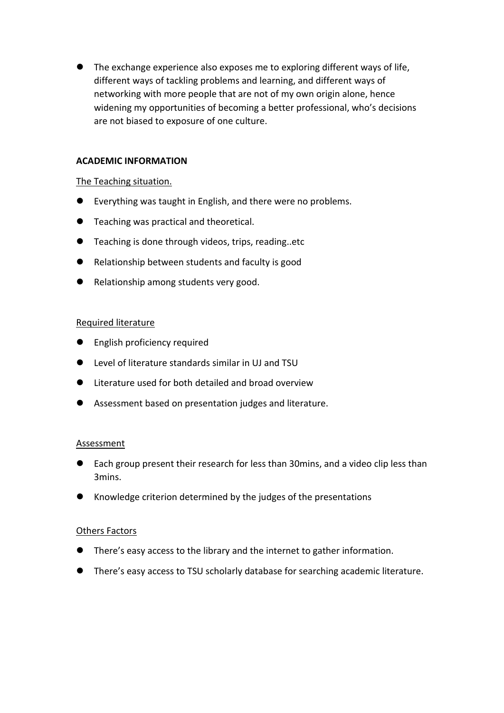The exchange experience also exposes me to exploring different ways of life, different ways of tackling problems and learning, and different ways of networking with more people that are not of my own origin alone, hence widening my opportunities of becoming a better professional, who's decisions are not biased to exposure of one culture.

### **ACADEMIC INFORMATION**

### The Teaching situation.

- Everything was taught in English, and there were no problems.
- **Teaching was practical and theoretical.**
- **Teaching is done through videos, trips, reading..etc**
- Relationship between students and faculty is good
- Relationship among students very good.

### Required literature

- **•** English proficiency required
- Level of literature standards similar in UJ and TSU
- Literature used for both detailed and broad overview
- Assessment based on presentation judges and literature.

#### Assessment

- Each group present their research for less than 30mins, and a video clip less than 3mins.
- Knowledge criterion determined by the judges of the presentations

#### Others Factors

- There's easy access to the library and the internet to gather information.
- There's easy access to TSU scholarly database for searching academic literature.